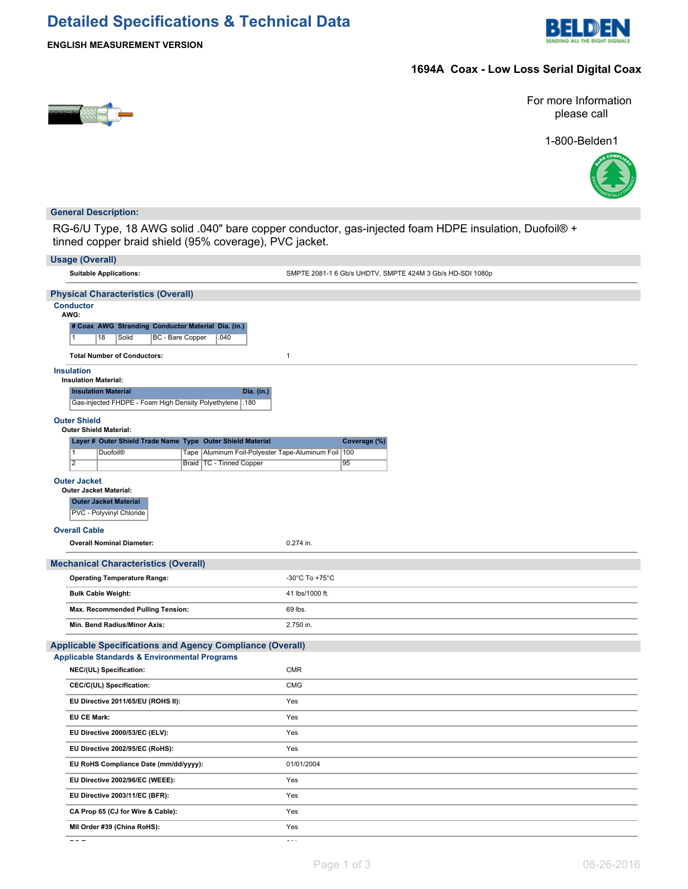# **Detailed Specifications & Technical Data**



**ENGLISH MEASUREMENT VERSION**

## **1694A Coax - Low Loss Serial Digital Coax**



For more Information please call

1-800-Belden1



### **General Description:**

RG-6/U Type, 18 AWG solid .040" bare copper conductor, gas-injected foam HDPE insulation, Duofoil® + tinned copper braid shield (95% coverage), PVC jacket.

| <b>Usage (Overall)</b>                                                                                                          |                                                           |  |  |  |  |  |  |  |
|---------------------------------------------------------------------------------------------------------------------------------|-----------------------------------------------------------|--|--|--|--|--|--|--|
| <b>Suitable Applications:</b>                                                                                                   | SMPTE 2081-1 6 Gb/s UHDTV, SMPTE 424M 3 Gb/s HD-SDI 1080p |  |  |  |  |  |  |  |
| <b>Physical Characteristics (Overall)</b>                                                                                       |                                                           |  |  |  |  |  |  |  |
| <b>Conductor</b><br>AWG:<br># Coax AWG Stranding Conductor Material Dia. (in.)<br>BC - Bare Copper<br>18<br>Solid<br>.040<br>11 |                                                           |  |  |  |  |  |  |  |
| <b>Total Number of Conductors:</b>                                                                                              | $\mathbf{1}$                                              |  |  |  |  |  |  |  |
| <b>Insulation</b><br><b>Insulation Material:</b>                                                                                |                                                           |  |  |  |  |  |  |  |
| <b>Insulation Material</b><br><b>Dia.</b> (in.)                                                                                 |                                                           |  |  |  |  |  |  |  |
| Gas-injected FHDPE - Foam High Density Polyethylene .180                                                                        |                                                           |  |  |  |  |  |  |  |
| <b>Outer Shield</b>                                                                                                             |                                                           |  |  |  |  |  |  |  |
| <b>Outer Shield Material:</b><br>Layer # Outer Shield Trade Name Type Outer Shield Material                                     | Coverage (%)                                              |  |  |  |  |  |  |  |
| $\overline{1}$<br>Tape   Aluminum Foil-Polyester Tape-Aluminum Foil   100<br><b>Duofoil®</b>                                    |                                                           |  |  |  |  |  |  |  |
| $\overline{2}$<br>Braid   TC - Tinned Copper                                                                                    | 95                                                        |  |  |  |  |  |  |  |
| <b>Outer Jacket</b>                                                                                                             |                                                           |  |  |  |  |  |  |  |
| <b>Outer Jacket Material:</b><br><b>Outer Jacket Material</b><br>PVC - Polyvinyl Chloride                                       |                                                           |  |  |  |  |  |  |  |
| <b>Overall Cable</b>                                                                                                            |                                                           |  |  |  |  |  |  |  |
| <b>Overall Nominal Diameter:</b>                                                                                                | 0.274 in.                                                 |  |  |  |  |  |  |  |
| <b>Mechanical Characteristics (Overall)</b>                                                                                     |                                                           |  |  |  |  |  |  |  |
| <b>Operating Temperature Range:</b>                                                                                             | -30°C To +75°C                                            |  |  |  |  |  |  |  |
| <b>Bulk Cable Weight:</b>                                                                                                       | 41 lbs/1000 ft.                                           |  |  |  |  |  |  |  |
| Max. Recommended Pulling Tension:                                                                                               | 69 lbs.                                                   |  |  |  |  |  |  |  |
| Min. Bend Radius/Minor Axis:                                                                                                    | 2.750 in.                                                 |  |  |  |  |  |  |  |
| <b>Applicable Specifications and Agency Compliance (Overall)</b>                                                                |                                                           |  |  |  |  |  |  |  |
| <b>Applicable Standards &amp; Environmental Programs</b>                                                                        |                                                           |  |  |  |  |  |  |  |
| NEC/(UL) Specification:                                                                                                         | CMR                                                       |  |  |  |  |  |  |  |
| CEC/C(UL) Specification:                                                                                                        | <b>CMG</b>                                                |  |  |  |  |  |  |  |
| EU Directive 2011/65/EU (ROHS II):                                                                                              | Yes                                                       |  |  |  |  |  |  |  |
| <b>EU CE Mark:</b>                                                                                                              | Yes                                                       |  |  |  |  |  |  |  |
| EU Directive 2000/53/EC (ELV):                                                                                                  | Yes                                                       |  |  |  |  |  |  |  |
| EU Directive 2002/95/EC (RoHS):                                                                                                 | Yes                                                       |  |  |  |  |  |  |  |
| EU RoHS Compliance Date (mm/dd/yyyy):                                                                                           | 01/01/2004                                                |  |  |  |  |  |  |  |
| EU Directive 2002/96/EC (WEEE):                                                                                                 | Yes                                                       |  |  |  |  |  |  |  |
| EU Directive 2003/11/EC (BFR):                                                                                                  | Yes                                                       |  |  |  |  |  |  |  |
| CA Prop 65 (CJ for Wire & Cable):                                                                                               | Yes                                                       |  |  |  |  |  |  |  |
| MII Order #39 (China RoHS):                                                                                                     | Yes                                                       |  |  |  |  |  |  |  |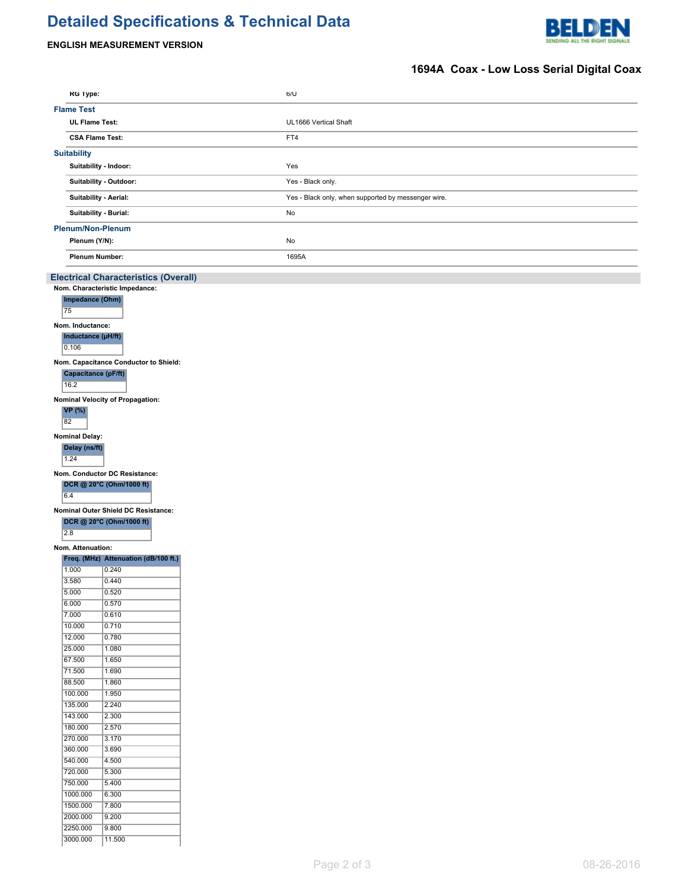# **Detailed Specifications & Technical Data**





# **1694A Coax - Low Loss Serial Digital Coax**

| <b>RG Type:</b>          |                                             |  | 6/U                                                 |  |  |
|--------------------------|---------------------------------------------|--|-----------------------------------------------------|--|--|
| <b>Flame Test</b>        |                                             |  |                                                     |  |  |
|                          | <b>UL Flame Test:</b>                       |  | UL1666 Vertical Shaft                               |  |  |
|                          | <b>CSA Flame Test:</b>                      |  | FT4                                                 |  |  |
|                          |                                             |  |                                                     |  |  |
| <b>Suitability</b>       |                                             |  |                                                     |  |  |
|                          | Suitability - Indoor:                       |  | Yes                                                 |  |  |
|                          | Suitability - Outdoor:                      |  | Yes - Black only.                                   |  |  |
|                          |                                             |  |                                                     |  |  |
|                          | Suitability - Aerial:                       |  | Yes - Black only, when supported by messenger wire. |  |  |
|                          | Suitability - Burial:                       |  | No                                                  |  |  |
| <b>Plenum/Non-Plenum</b> |                                             |  |                                                     |  |  |
| Plenum (Y/N):            |                                             |  | No                                                  |  |  |
|                          | <b>Plenum Number:</b>                       |  | 1695A                                               |  |  |
|                          |                                             |  |                                                     |  |  |
|                          | <b>Electrical Characteristics (Overall)</b> |  |                                                     |  |  |
|                          | Nom. Characteristic Impedance:              |  |                                                     |  |  |
| Impedance (Ohm)          |                                             |  |                                                     |  |  |
| 75                       |                                             |  |                                                     |  |  |
| Nom. Inductance:         |                                             |  |                                                     |  |  |
| Inductance (µH/ft)       |                                             |  |                                                     |  |  |
| 0.106                    |                                             |  |                                                     |  |  |
|                          | Nom. Capacitance Conductor to Shield:       |  |                                                     |  |  |
| Capacitance (pF/ft)      |                                             |  |                                                     |  |  |
| 16.2                     |                                             |  |                                                     |  |  |
|                          |                                             |  |                                                     |  |  |
| <b>VP</b> (%)            | Nominal Velocity of Propagation:            |  |                                                     |  |  |
| 82                       |                                             |  |                                                     |  |  |
|                          |                                             |  |                                                     |  |  |
| <b>Nominal Delay:</b>    |                                             |  |                                                     |  |  |
| Delay (ns/ft)            |                                             |  |                                                     |  |  |
| 1.24                     |                                             |  |                                                     |  |  |
|                          | Nom. Conductor DC Resistance:               |  |                                                     |  |  |
|                          | DCR @ 20°C (Ohm/1000 ft)                    |  |                                                     |  |  |
| 6.4                      |                                             |  |                                                     |  |  |
|                          | Nominal Outer Shield DC Resistance:         |  |                                                     |  |  |
|                          | DCR @ 20°C (Ohm/1000 ft)                    |  |                                                     |  |  |
| $\overline{2.8}$         |                                             |  |                                                     |  |  |
| Nom. Attenuation:        |                                             |  |                                                     |  |  |
|                          | Freq. (MHz) Attenuation (dB/100 ft.)        |  |                                                     |  |  |
| 1.000                    | 0.240                                       |  |                                                     |  |  |
| 3.580                    | 0.440                                       |  |                                                     |  |  |
| 5.000                    | 0.520                                       |  |                                                     |  |  |
| 6.000                    | 0.570                                       |  |                                                     |  |  |
| 7.000                    | 0.610                                       |  |                                                     |  |  |
| 10.000                   | 0.710                                       |  |                                                     |  |  |
| 12.000                   | 0.780                                       |  |                                                     |  |  |
| 25.000                   | 1.080                                       |  |                                                     |  |  |
| 67.500<br>71.500         | 1.650                                       |  |                                                     |  |  |
| 88.500                   | 1.690<br>1.860                              |  |                                                     |  |  |
| 100.000                  | 1.950                                       |  |                                                     |  |  |
| 135.000                  | 2.240                                       |  |                                                     |  |  |
| 143.000                  | 2.300                                       |  |                                                     |  |  |
| 180.000                  | 2.570                                       |  |                                                     |  |  |
| 270.000                  | 3.170                                       |  |                                                     |  |  |
| 360.000                  | 3.690                                       |  |                                                     |  |  |
| 540.000                  | 4.500                                       |  |                                                     |  |  |
| 720.000                  | 5.300                                       |  |                                                     |  |  |
| 750.000                  | 5.400                                       |  |                                                     |  |  |
| 1000.000                 | 6.300                                       |  |                                                     |  |  |
| 1500.000                 | 7.800                                       |  |                                                     |  |  |
| 2000.000                 | 9.200                                       |  |                                                     |  |  |
| 2250.000                 | 9.800                                       |  |                                                     |  |  |
| 3000.000                 | 11.500                                      |  |                                                     |  |  |
|                          |                                             |  |                                                     |  |  |